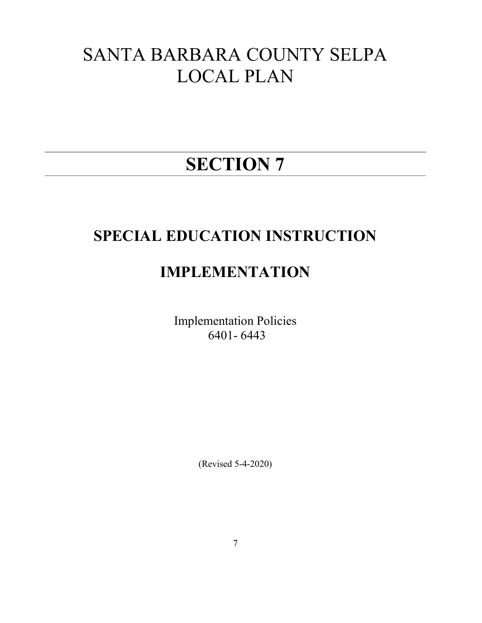# SANTA BARBARA COUNTY SELPA LOCAL PLAN

# SECTION 7

# SPECIAL EDUCATION INSTRUCTION

# IMPLEMENTATION

Implementation Policies 6401- 6443

(Revised 5-4-2020)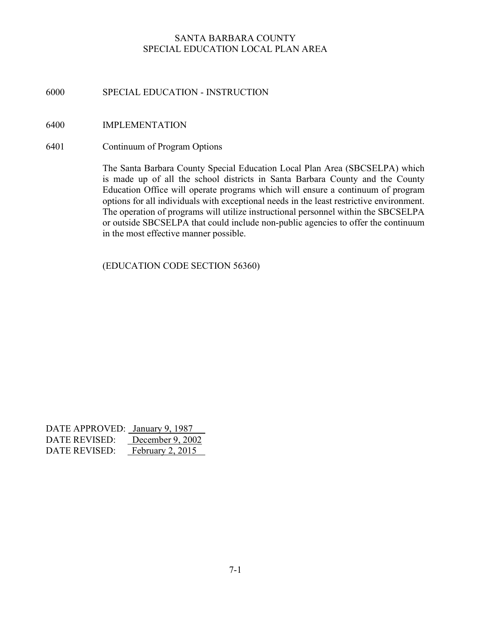# 6000 SPECIAL EDUCATION - INSTRUCTION

#### 6400 IMPLEMENTATION

#### 6401 Continuum of Program Options

The Santa Barbara County Special Education Local Plan Area (SBCSELPA) which is made up of all the school districts in Santa Barbara County and the County Education Office will operate programs which will ensure a continuum of program options for all individuals with exceptional needs in the least restrictive environment. The operation of programs will utilize instructional personnel within the SBCSELPA or outside SBCSELPA that could include non-public agencies to offer the continuum in the most effective manner possible.

(EDUCATION CODE SECTION 56360)

| DATE APPROVED: January 9, 1987 |                  |
|--------------------------------|------------------|
| DATE REVISED:                  | December 9, 2002 |
| DATE REVISED:                  | February 2, 2015 |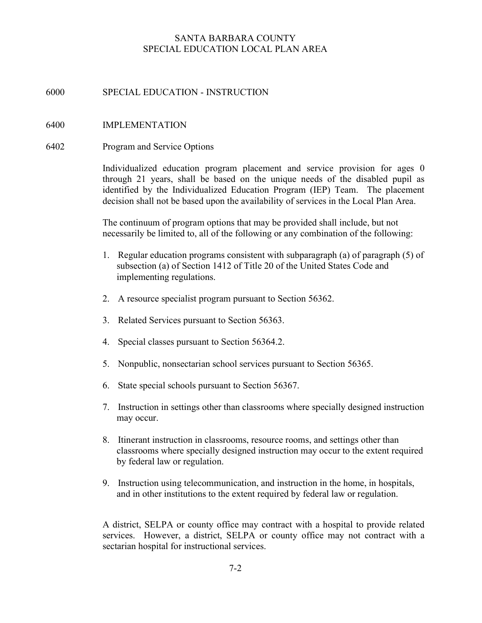# 6000 SPECIAL EDUCATION - INSTRUCTION

## 6400 IMPLEMENTATION

#### 6402 Program and Service Options

Individualized education program placement and service provision for ages 0 through 21 years, shall be based on the unique needs of the disabled pupil as identified by the Individualized Education Program (IEP) Team. The placement decision shall not be based upon the availability of services in the Local Plan Area.

The continuum of program options that may be provided shall include, but not necessarily be limited to, all of the following or any combination of the following:

- 1. Regular education programs consistent with subparagraph (a) of paragraph (5) of subsection (a) of Section 1412 of Title 20 of the United States Code and implementing regulations.
- 2. A resource specialist program pursuant to Section 56362.
- 3. Related Services pursuant to Section 56363.
- 4. Special classes pursuant to Section 56364.2.
- 5. Nonpublic, nonsectarian school services pursuant to Section 56365.
- 6. State special schools pursuant to Section 56367.
- 7. Instruction in settings other than classrooms where specially designed instruction may occur.
- 8. Itinerant instruction in classrooms, resource rooms, and settings other than classrooms where specially designed instruction may occur to the extent required by federal law or regulation.
- 9. Instruction using telecommunication, and instruction in the home, in hospitals, and in other institutions to the extent required by federal law or regulation.

A district, SELPA or county office may contract with a hospital to provide related services. However, a district, SELPA or county office may not contract with a sectarian hospital for instructional services.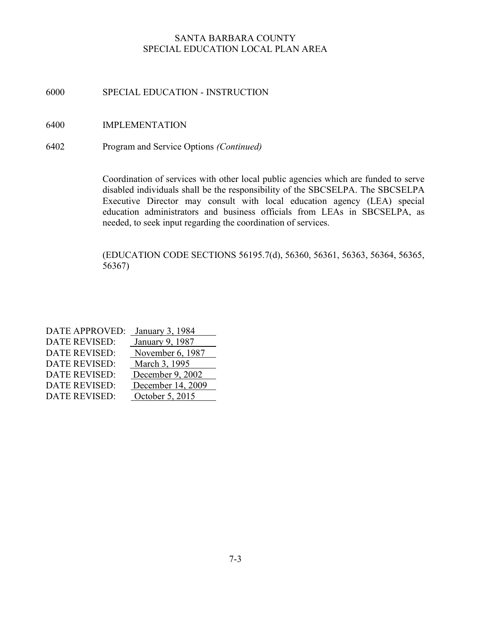# 6000 SPECIAL EDUCATION - INSTRUCTION

- 6400 IMPLEMENTATION
- 6402 Program and Service Options (Continued)

Coordination of services with other local public agencies which are funded to serve disabled individuals shall be the responsibility of the SBCSELPA. The SBCSELPA Executive Director may consult with local education agency (LEA) special education administrators and business officials from LEAs in SBCSELPA, as needed, to seek input regarding the coordination of services.

(EDUCATION CODE SECTIONS 56195.7(d), 56360, 56361, 56363, 56364, 56365, 56367)

| <b>DATE APPROVED:</b> | January 3, 1984   |
|-----------------------|-------------------|
| <b>DATE REVISED:</b>  | January 9, 1987   |
| <b>DATE REVISED:</b>  | November 6, 1987  |
| <b>DATE REVISED:</b>  | March 3, 1995     |
| <b>DATE REVISED:</b>  | December 9, 2002  |
| <b>DATE REVISED:</b>  | December 14, 2009 |
| <b>DATE REVISED:</b>  | October 5, 2015   |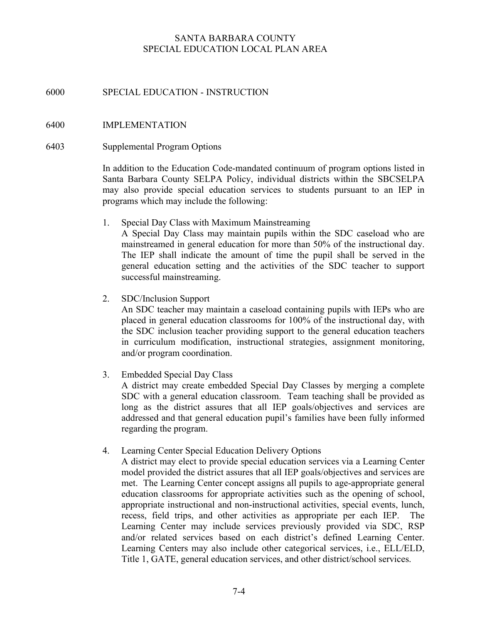## 6000 SPECIAL EDUCATION - INSTRUCTION

#### 6400 IMPLEMENTATION

#### 6403 Supplemental Program Options

In addition to the Education Code-mandated continuum of program options listed in Santa Barbara County SELPA Policy, individual districts within the SBCSELPA may also provide special education services to students pursuant to an IEP in programs which may include the following:

1. Special Day Class with Maximum Mainstreaming

 A Special Day Class may maintain pupils within the SDC caseload who are mainstreamed in general education for more than 50% of the instructional day. The IEP shall indicate the amount of time the pupil shall be served in the general education setting and the activities of the SDC teacher to support successful mainstreaming.

2. SDC/Inclusion Support

 An SDC teacher may maintain a caseload containing pupils with IEPs who are placed in general education classrooms for 100% of the instructional day, with the SDC inclusion teacher providing support to the general education teachers in curriculum modification, instructional strategies, assignment monitoring, and/or program coordination.

3. Embedded Special Day Class

 A district may create embedded Special Day Classes by merging a complete SDC with a general education classroom. Team teaching shall be provided as long as the district assures that all IEP goals/objectives and services are addressed and that general education pupil's families have been fully informed regarding the program.

4. Learning Center Special Education Delivery Options

 A district may elect to provide special education services via a Learning Center model provided the district assures that all IEP goals/objectives and services are met. The Learning Center concept assigns all pupils to age-appropriate general education classrooms for appropriate activities such as the opening of school, appropriate instructional and non-instructional activities, special events, lunch, recess, field trips, and other activities as appropriate per each IEP. The Learning Center may include services previously provided via SDC, RSP and/or related services based on each district's defined Learning Center. Learning Centers may also include other categorical services, i.e., ELL/ELD, Title 1, GATE, general education services, and other district/school services.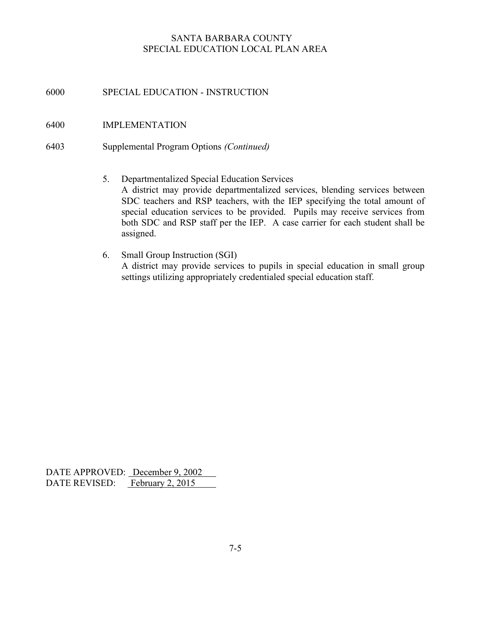6000 SPECIAL EDUCATION - INSTRUCTION

#### 6400 IMPLEMENTATION

- 6403 Supplemental Program Options (Continued)
	- 5. Departmentalized Special Education Services A district may provide departmentalized services, blending services between SDC teachers and RSP teachers, with the IEP specifying the total amount of special education services to be provided. Pupils may receive services from both SDC and RSP staff per the IEP. A case carrier for each student shall be assigned.
	- 6. Small Group Instruction (SGI) A district may provide services to pupils in special education in small group settings utilizing appropriately credentialed special education staff.

DATE APPROVED: December 9, 2002 DATE REVISED: February 2, 2015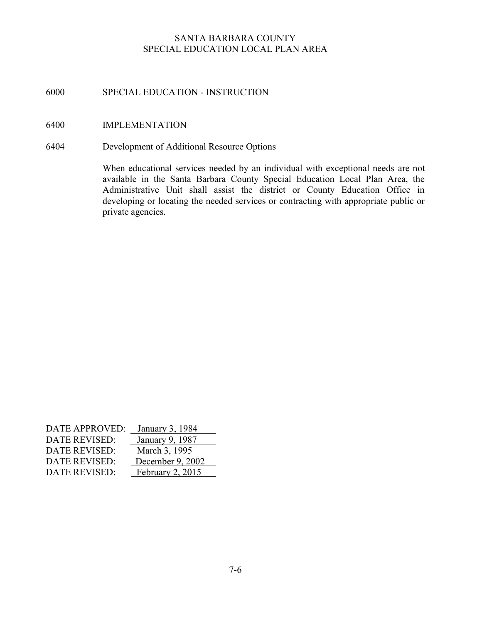# 6000 SPECIAL EDUCATION - INSTRUCTION

#### 6400 IMPLEMENTATION

6404 Development of Additional Resource Options

When educational services needed by an individual with exceptional needs are not available in the Santa Barbara County Special Education Local Plan Area, the Administrative Unit shall assist the district or County Education Office in developing or locating the needed services or contracting with appropriate public or private agencies.

| <b>DATE APPROVED:</b> | January 3, 1984    |
|-----------------------|--------------------|
| DATE REVISED:         | January 9, 1987    |
| DATE REVISED:         | March 3, 1995      |
| DATE REVISED:         | December 9, 2002   |
| DATE REVISED:         | February $2, 2015$ |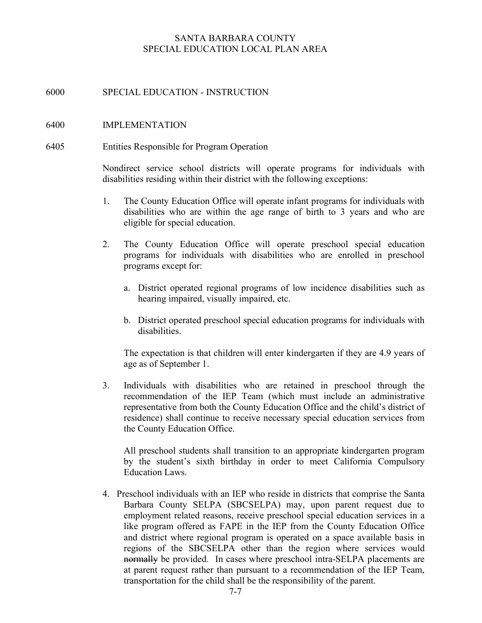## 6000 SPECIAL EDUCATION - INSTRUCTION

#### 6400 IMPLEMENTATION

#### 6405 Entities Responsible for Program Operation

Nondirect service school districts will operate programs for individuals with disabilities residing within their district with the following exceptions:

- 1. The County Education Office will operate infant programs for individuals with disabilities who are within the age range of birth to 3 years and who are eligible for special education.
- 2. The County Education Office will operate preschool special education programs for individuals with disabilities who are enrolled in preschool programs except for:
	- a. District operated regional programs of low incidence disabilities such as hearing impaired, visually impaired, etc.
	- b. District operated preschool special education programs for individuals with disabilities.

The expectation is that children will enter kindergarten if they are 4.9 years of age as of September 1.

3. Individuals with disabilities who are retained in preschool through the recommendation of the IEP Team (which must include an administrative representative from both the County Education Office and the child's district of residence) shall continue to receive necessary special education services from the County Education Office.

 All preschool students shall transition to an appropriate kindergarten program by the student's sixth birthday in order to meet California Compulsory Education Laws.

4. Preschool individuals with an IEP who reside in districts that comprise the Santa Barbara County SELPA (SBCSELPA) may, upon parent request due to employment related reasons, receive preschool special education services in a like program offered as FAPE in the IEP from the County Education Office and district where regional program is operated on a space available basis in regions of the SBCSELPA other than the region where services would normally be provided. In cases where preschool intra-SELPA placements are at parent request rather than pursuant to a recommendation of the IEP Team, transportation for the child shall be the responsibility of the parent.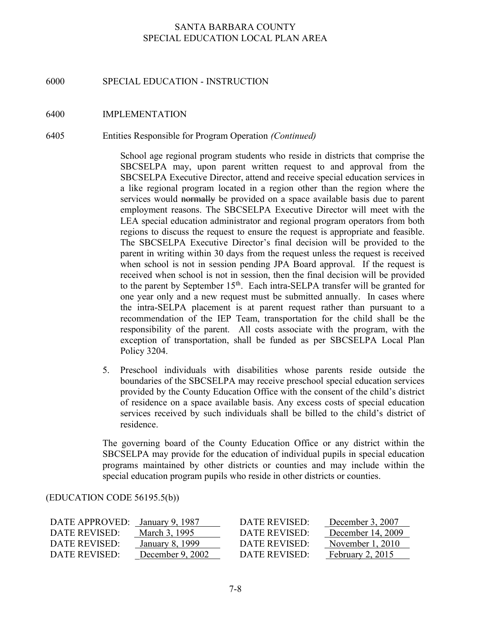#### 6000 SPECIAL EDUCATION - INSTRUCTION

#### 6400 IMPLEMENTATION

#### 6405 Entities Responsible for Program Operation (Continued)

School age regional program students who reside in districts that comprise the SBCSELPA may, upon parent written request to and approval from the SBCSELPA Executive Director, attend and receive special education services in a like regional program located in a region other than the region where the services would normally be provided on a space available basis due to parent employment reasons. The SBCSELPA Executive Director will meet with the LEA special education administrator and regional program operators from both regions to discuss the request to ensure the request is appropriate and feasible. The SBCSELPA Executive Director's final decision will be provided to the parent in writing within 30 days from the request unless the request is received when school is not in session pending JPA Board approval. If the request is received when school is not in session, then the final decision will be provided to the parent by September  $15<sup>th</sup>$ . Each intra-SELPA transfer will be granted for one year only and a new request must be submitted annually. In cases where the intra-SELPA placement is at parent request rather than pursuant to a recommendation of the IEP Team, transportation for the child shall be the responsibility of the parent. All costs associate with the program, with the exception of transportation, shall be funded as per SBCSELPA Local Plan Policy 3204.

5. Preschool individuals with disabilities whose parents reside outside the boundaries of the SBCSELPA may receive preschool special education services provided by the County Education Office with the consent of the child's district of residence on a space available basis. Any excess costs of special education services received by such individuals shall be billed to the child's district of residence.

The governing board of the County Education Office or any district within the SBCSELPA may provide for the education of individual pupils in special education programs maintained by other districts or counties and may include within the special education program pupils who reside in other districts or counties.

#### (EDUCATION CODE 56195.5(b))

| DATE APPROVED: | January 9, 1987    | DATE REVISED: | December 3, 2007   |
|----------------|--------------------|---------------|--------------------|
| DATE REVISED:  | March 3, 1995      | DATE REVISED: | December 14, 2009  |
| DATE REVISED:  | January 8, 1999    | DATE REVISED: | November $1, 2010$ |
| DATE REVISED:  | December $9, 2002$ | DATE REVISED: | February $2, 2015$ |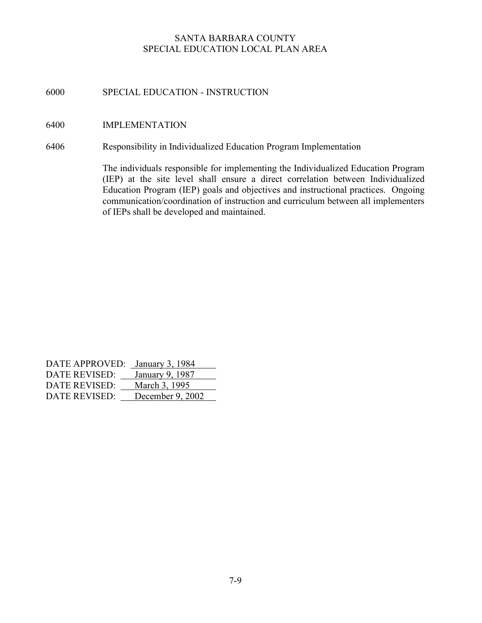# 6000 SPECIAL EDUCATION - INSTRUCTION

## 6400 IMPLEMENTATION

6406 Responsibility in Individualized Education Program Implementation

The individuals responsible for implementing the Individualized Education Program (IEP) at the site level shall ensure a direct correlation between Individualized Education Program (IEP) goals and objectives and instructional practices. Ongoing communication/coordination of instruction and curriculum between all implementers of IEPs shall be developed and maintained.

| DATE APPROVED: January 3, 1984 |                  |
|--------------------------------|------------------|
| <b>DATE REVISED:</b>           | January 9, 1987  |
| DATE REVISED:                  | March 3, 1995    |
| DATE REVISED:                  | December 9, 2002 |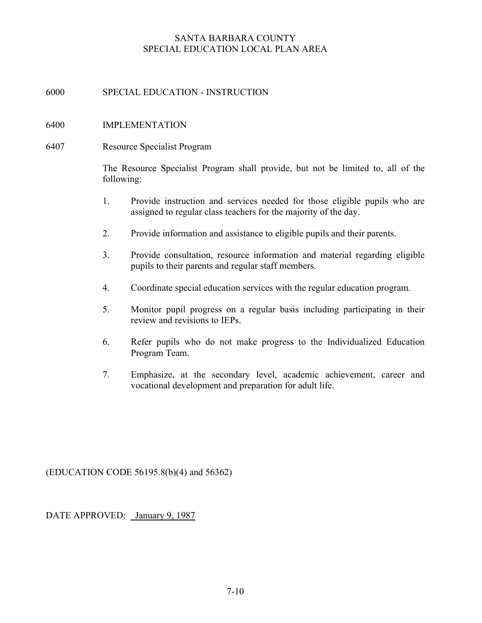# 6000 SPECIAL EDUCATION - INSTRUCTION

## 6400 IMPLEMENTATION

#### 6407 Resource Specialist Program

The Resource Specialist Program shall provide, but not be limited to, all of the following:

- 1. Provide instruction and services needed for those eligible pupils who are assigned to regular class teachers for the majority of the day.
- 2. Provide information and assistance to eligible pupils and their parents.
- 3. Provide consultation, resource information and material regarding eligible pupils to their parents and regular staff members.
- 4. Coordinate special education services with the regular education program.
- 5. Monitor pupil progress on a regular basis including participating in their review and revisions to IEPs.
- 6. Refer pupils who do not make progress to the Individualized Education Program Team.
- 7. Emphasize, at the secondary level, academic achievement, career and vocational development and preparation for adult life.

(EDUCATION CODE 56195.8(b)(4) and 56362)

DATE APPROVED: January 9, 1987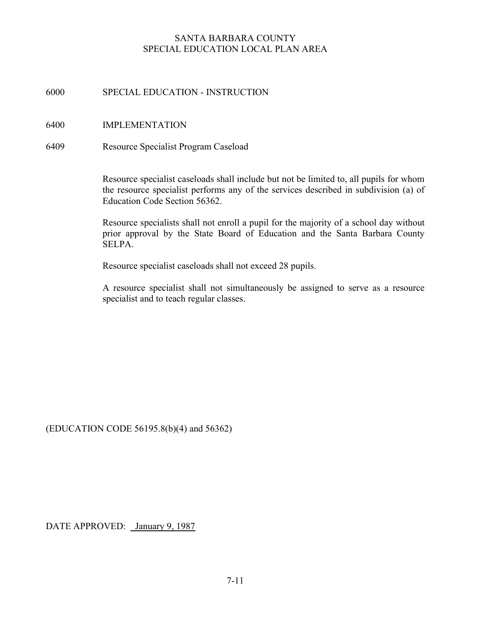# 6000 SPECIAL EDUCATION - INSTRUCTION

#### 6400 IMPLEMENTATION

#### 6409 Resource Specialist Program Caseload

Resource specialist caseloads shall include but not be limited to, all pupils for whom the resource specialist performs any of the services described in subdivision (a) of Education Code Section 56362.

Resource specialists shall not enroll a pupil for the majority of a school day without prior approval by the State Board of Education and the Santa Barbara County SELPA.

Resource specialist caseloads shall not exceed 28 pupils.

A resource specialist shall not simultaneously be assigned to serve as a resource specialist and to teach regular classes.

(EDUCATION CODE 56195.8(b)(4) and 56362)

DATE APPROVED: January 9, 1987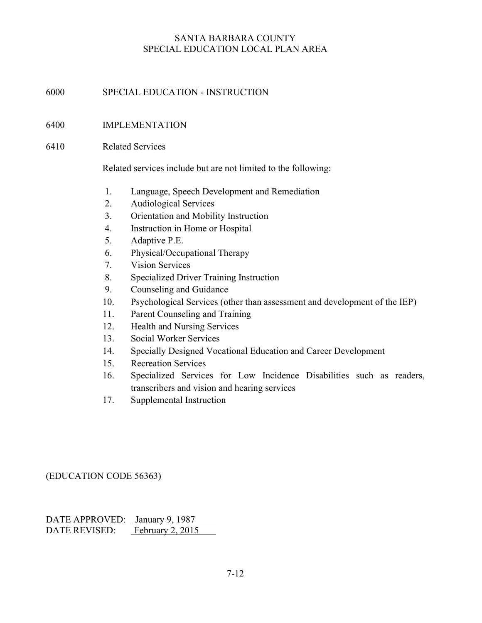# 6000 SPECIAL EDUCATION - INSTRUCTION

## 6400 IMPLEMENTATION

#### 6410 Related Services

Related services include but are not limited to the following:

- 1. Language, Speech Development and Remediation
- 2. Audiological Services
- 3. Orientation and Mobility Instruction
- 4. Instruction in Home or Hospital
- 5. Adaptive P.E.
- 6. Physical/Occupational Therapy
- 7. Vision Services
- 8. Specialized Driver Training Instruction
- 9. Counseling and Guidance
- 10. Psychological Services (other than assessment and development of the IEP)
- 11. Parent Counseling and Training
- 12. Health and Nursing Services
- 13. Social Worker Services
- 14. Specially Designed Vocational Education and Career Development
- 15. Recreation Services
- 16. Specialized Services for Low Incidence Disabilities such as readers, transcribers and vision and hearing services
- 17. Supplemental Instruction

#### (EDUCATION CODE 56363)

DATE APPROVED: January 9, 1987 DATE REVISED: February 2, 2015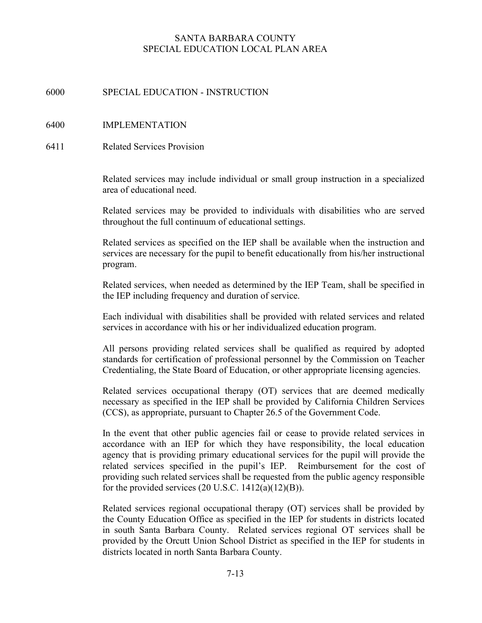# 6000 SPECIAL EDUCATION - INSTRUCTION

## 6400 IMPLEMENTATION

6411 Related Services Provision

Related services may include individual or small group instruction in a specialized area of educational need.

Related services may be provided to individuals with disabilities who are served throughout the full continuum of educational settings.

Related services as specified on the IEP shall be available when the instruction and services are necessary for the pupil to benefit educationally from his/her instructional program.

Related services, when needed as determined by the IEP Team, shall be specified in the IEP including frequency and duration of service.

Each individual with disabilities shall be provided with related services and related services in accordance with his or her individualized education program.

All persons providing related services shall be qualified as required by adopted standards for certification of professional personnel by the Commission on Teacher Credentialing, the State Board of Education, or other appropriate licensing agencies.

Related services occupational therapy (OT) services that are deemed medically necessary as specified in the IEP shall be provided by California Children Services (CCS), as appropriate, pursuant to Chapter 26.5 of the Government Code.

In the event that other public agencies fail or cease to provide related services in accordance with an IEP for which they have responsibility, the local education agency that is providing primary educational services for the pupil will provide the related services specified in the pupil's IEP. Reimbursement for the cost of providing such related services shall be requested from the public agency responsible for the provided services  $(20 \text{ U.S.C. } 1412(a)(12)(B)).$ 

Related services regional occupational therapy (OT) services shall be provided by the County Education Office as specified in the IEP for students in districts located in south Santa Barbara County. Related services regional OT services shall be provided by the Orcutt Union School District as specified in the IEP for students in districts located in north Santa Barbara County.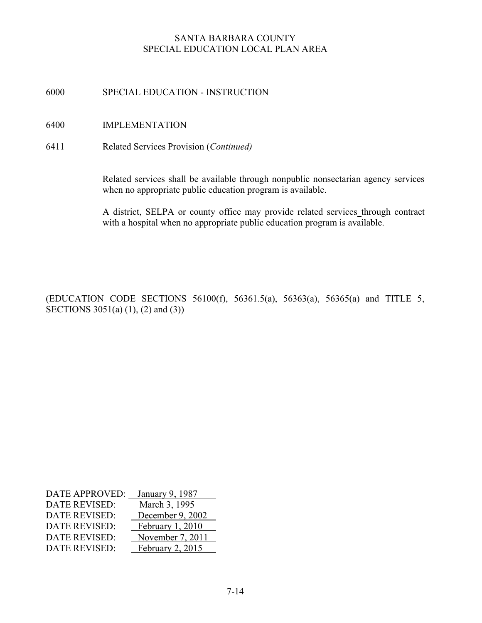6000 SPECIAL EDUCATION - INSTRUCTION

- 6400 IMPLEMENTATION
- 6411 Related Services Provision (Continued)

Related services shall be available through nonpublic nonsectarian agency services when no appropriate public education program is available.

A district, SELPA or county office may provide related services through contract with a hospital when no appropriate public education program is available.

(EDUCATION CODE SECTIONS 56100(f), 56361.5(a), 56363(a), 56365(a) and TITLE 5, SECTIONS 3051(a) (1), (2) and (3))

| <b>DATE APPROVED:</b> | January 9, 1987  |
|-----------------------|------------------|
| <b>DATE REVISED:</b>  | March 3, 1995    |
| <b>DATE REVISED:</b>  | December 9, 2002 |
| <b>DATE REVISED:</b>  | February 1, 2010 |
| <b>DATE REVISED:</b>  | November 7, 2011 |
| <b>DATE REVISED:</b>  | February 2, 2015 |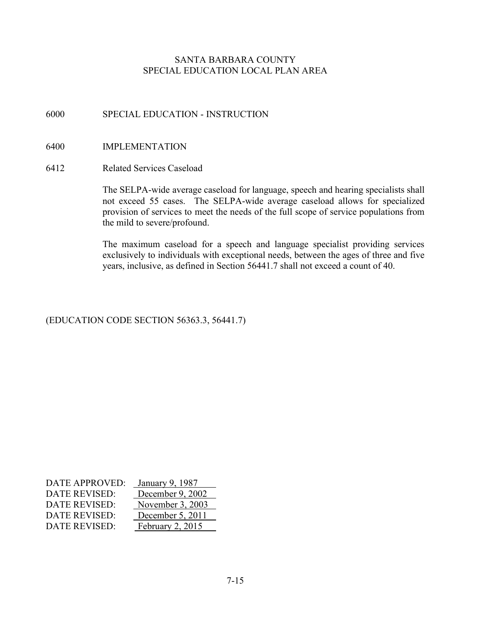# 6000 SPECIAL EDUCATION - INSTRUCTION

## 6400 IMPLEMENTATION

#### 6412 Related Services Caseload

The SELPA-wide average caseload for language, speech and hearing specialists shall not exceed 55 cases. The SELPA-wide average caseload allows for specialized provision of services to meet the needs of the full scope of service populations from the mild to severe/profound.

The maximum caseload for a speech and language specialist providing services exclusively to individuals with exceptional needs, between the ages of three and five years, inclusive, as defined in Section 56441.7 shall not exceed a count of 40.

# (EDUCATION CODE SECTION 56363.3, 56441.7)

| <b>DATE APPROVED:</b> | January 9, 1987  |
|-----------------------|------------------|
| <b>DATE REVISED:</b>  | December 9, 2002 |
| <b>DATE REVISED:</b>  | November 3, 2003 |
| <b>DATE REVISED:</b>  | December 5, 2011 |
| <b>DATE REVISED:</b>  | February 2, 2015 |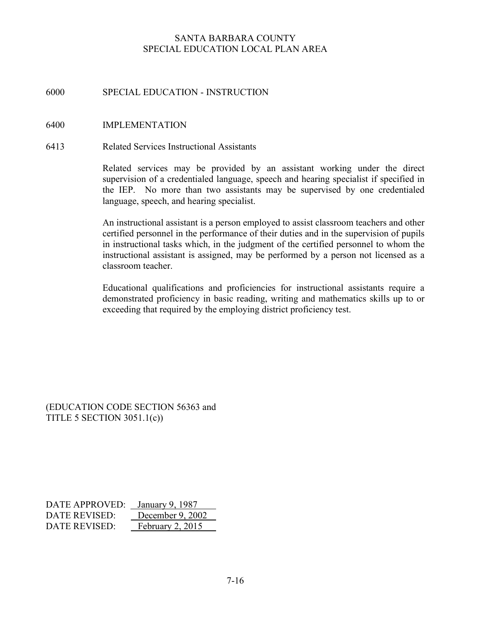# 6000 SPECIAL EDUCATION - INSTRUCTION

#### 6400 IMPLEMENTATION

#### 6413 Related Services Instructional Assistants

Related services may be provided by an assistant working under the direct supervision of a credentialed language, speech and hearing specialist if specified in the IEP. No more than two assistants may be supervised by one credentialed language, speech, and hearing specialist.

An instructional assistant is a person employed to assist classroom teachers and other certified personnel in the performance of their duties and in the supervision of pupils in instructional tasks which, in the judgment of the certified personnel to whom the instructional assistant is assigned, may be performed by a person not licensed as a classroom teacher.

Educational qualifications and proficiencies for instructional assistants require a demonstrated proficiency in basic reading, writing and mathematics skills up to or exceeding that required by the employing district proficiency test.

(EDUCATION CODE SECTION 56363 and TITLE 5 SECTION 3051.1(c))

DATE APPROVED: January 9, 1987 DATE REVISED: December 9, 2002 DATE REVISED: February 2, 2015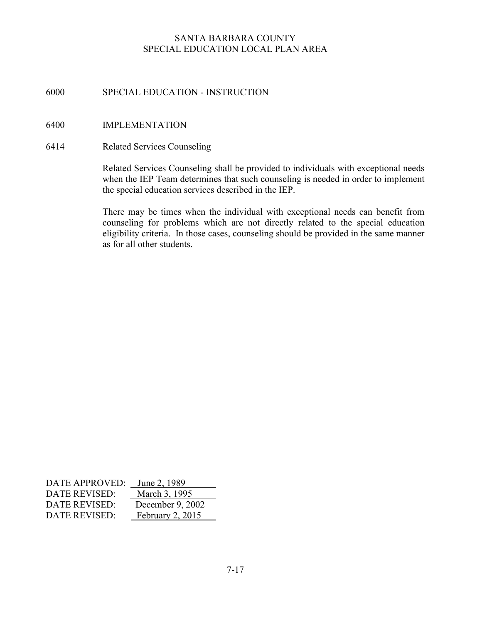# 6000 SPECIAL EDUCATION - INSTRUCTION

## 6400 IMPLEMENTATION

#### 6414 Related Services Counseling

Related Services Counseling shall be provided to individuals with exceptional needs when the IEP Team determines that such counseling is needed in order to implement the special education services described in the IEP.

There may be times when the individual with exceptional needs can benefit from counseling for problems which are not directly related to the special education eligibility criteria. In those cases, counseling should be provided in the same manner as for all other students.

| DATE APPROVED: | June 2, 1989     |
|----------------|------------------|
| DATE REVISED:  | March 3, 1995    |
| DATE REVISED:  | December 9, 2002 |
| DATE REVISED:  | February 2, 2015 |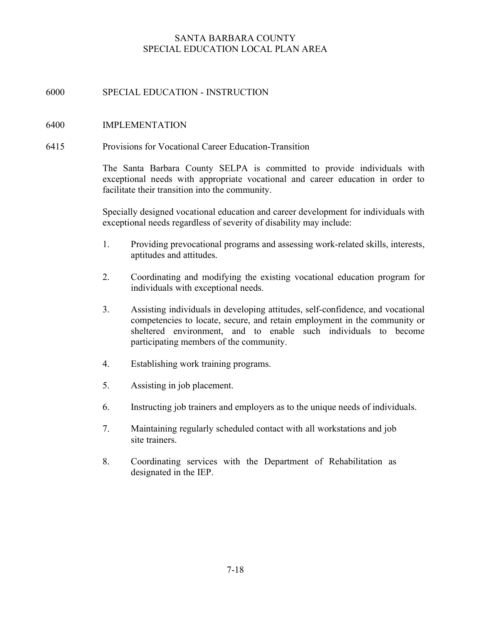# 6000 SPECIAL EDUCATION - INSTRUCTION

## 6400 IMPLEMENTATION

#### 6415 Provisions for Vocational Career Education-Transition

The Santa Barbara County SELPA is committed to provide individuals with exceptional needs with appropriate vocational and career education in order to facilitate their transition into the community.

Specially designed vocational education and career development for individuals with exceptional needs regardless of severity of disability may include:

- 1. Providing prevocational programs and assessing work-related skills, interests, aptitudes and attitudes.
- 2. Coordinating and modifying the existing vocational education program for individuals with exceptional needs.
- 3. Assisting individuals in developing attitudes, self-confidence, and vocational competencies to locate, secure, and retain employment in the community or sheltered environment, and to enable such individuals to become participating members of the community.
- 4. Establishing work training programs.
- 5. Assisting in job placement.
- 6. Instructing job trainers and employers as to the unique needs of individuals.
- 7. Maintaining regularly scheduled contact with all workstations and job site trainers.
- 8. Coordinating services with the Department of Rehabilitation as designated in the IEP.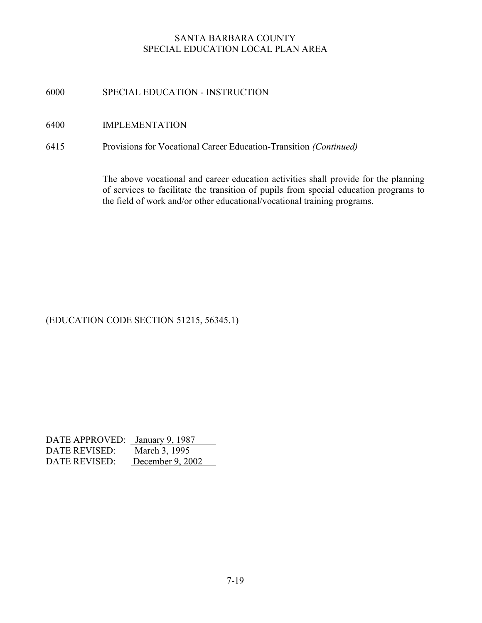# 6000 SPECIAL EDUCATION - INSTRUCTION

## 6400 IMPLEMENTATION

# 6415 Provisions for Vocational Career Education-Transition (Continued)

The above vocational and career education activities shall provide for the planning of services to facilitate the transition of pupils from special education programs to the field of work and/or other educational/vocational training programs.

# (EDUCATION CODE SECTION 51215, 56345.1)

| DATE APPROVED: January 9, 1987 |                  |
|--------------------------------|------------------|
| DATE REVISED:                  | March 3, 1995    |
| DATE REVISED:                  | December 9, 2002 |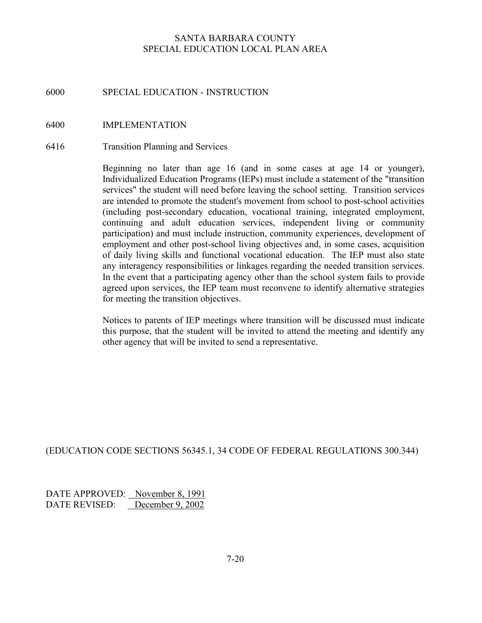#### 6000 SPECIAL EDUCATION - INSTRUCTION

#### 6400 IMPLEMENTATION

#### 6416 Transition Planning and Services

Beginning no later than age 16 (and in some cases at age 14 or younger), Individualized Education Programs (IEPs) must include a statement of the "transition services" the student will need before leaving the school setting. Transition services are intended to promote the student's movement from school to post-school activities (including post-secondary education, vocational training, integrated employment, continuing and adult education services, independent living or community participation) and must include instruction, community experiences, development of employment and other post-school living objectives and, in some cases, acquisition of daily living skills and functional vocational education. The IEP must also state any interagency responsibilities or linkages regarding the needed transition services. In the event that a participating agency other than the school system fails to provide agreed upon services, the IEP team must reconvene to identify alternative strategies for meeting the transition objectives.

Notices to parents of IEP meetings where transition will be discussed must indicate this purpose, that the student will be invited to attend the meeting and identify any other agency that will be invited to send a representative.

#### (EDUCATION CODE SECTIONS 56345.1, 34 CODE OF FEDERAL REGULATIONS 300.344)

DATE APPROVED: November 8, 1991 DATE REVISED: December 9, 2002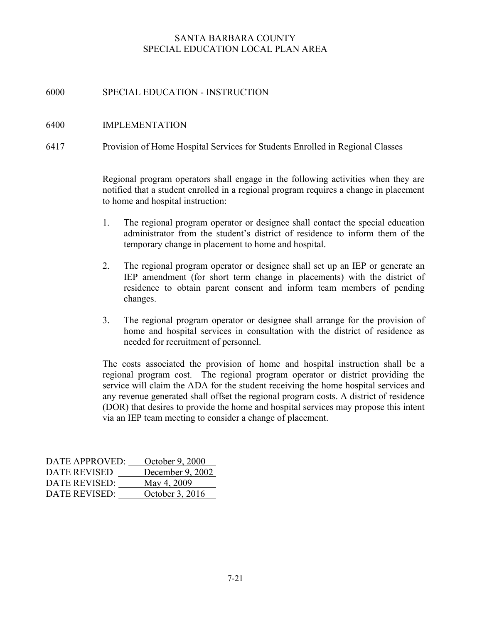# 6000 SPECIAL EDUCATION - INSTRUCTION

## 6400 IMPLEMENTATION

6417 Provision of Home Hospital Services for Students Enrolled in Regional Classes

Regional program operators shall engage in the following activities when they are notified that a student enrolled in a regional program requires a change in placement to home and hospital instruction:

- 1. The regional program operator or designee shall contact the special education administrator from the student's district of residence to inform them of the temporary change in placement to home and hospital.
- 2. The regional program operator or designee shall set up an IEP or generate an IEP amendment (for short term change in placements) with the district of residence to obtain parent consent and inform team members of pending changes.
- 3. The regional program operator or designee shall arrange for the provision of home and hospital services in consultation with the district of residence as needed for recruitment of personnel.

The costs associated the provision of home and hospital instruction shall be a regional program cost. The regional program operator or district providing the service will claim the ADA for the student receiving the home hospital services and any revenue generated shall offset the regional program costs. A district of residence (DOR) that desires to provide the home and hospital services may propose this intent via an IEP team meeting to consider a change of placement.

| DATE APPROVED:       | October 9, 2000  |
|----------------------|------------------|
| DATE REVISED         | December 9, 2002 |
| <b>DATE REVISED:</b> | May 4, 2009      |
| DATE REVISED:        | October 3, 2016  |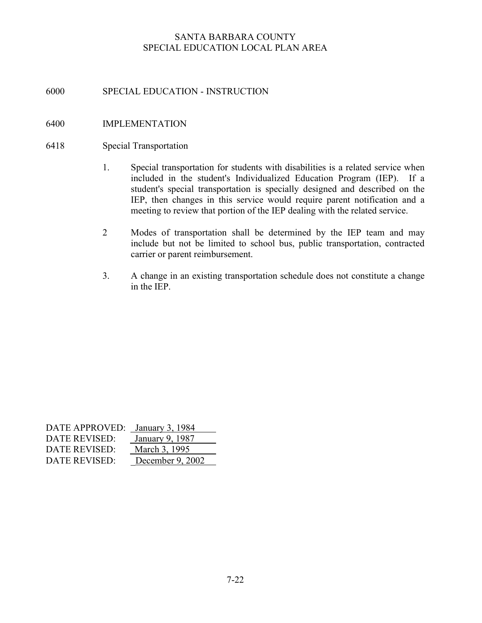# 6000 SPECIAL EDUCATION - INSTRUCTION

## 6400 IMPLEMENTATION

#### 6418 Special Transportation

- 1. Special transportation for students with disabilities is a related service when included in the student's Individualized Education Program (IEP). If a student's special transportation is specially designed and described on the IEP, then changes in this service would require parent notification and a meeting to review that portion of the IEP dealing with the related service.
- 2 Modes of transportation shall be determined by the IEP team and may include but not be limited to school bus, public transportation, contracted carrier or parent reimbursement.
- 3. A change in an existing transportation schedule does not constitute a change in the IEP.

| DATE APPROVED: January 3, 1984 |                  |
|--------------------------------|------------------|
| DATE REVISED:                  | January 9, 1987  |
| DATE REVISED:                  | March 3, 1995    |
| DATE REVISED:                  | December 9, 2002 |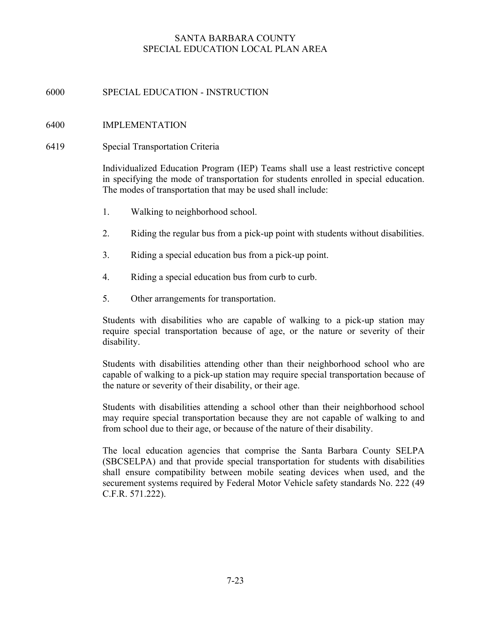# 6000 SPECIAL EDUCATION - INSTRUCTION

## 6400 IMPLEMENTATION

#### 6419 Special Transportation Criteria

Individualized Education Program (IEP) Teams shall use a least restrictive concept in specifying the mode of transportation for students enrolled in special education. The modes of transportation that may be used shall include:

- 1. Walking to neighborhood school.
- 2. Riding the regular bus from a pick-up point with students without disabilities.
- 3. Riding a special education bus from a pick-up point.
- 4. Riding a special education bus from curb to curb.
- 5. Other arrangements for transportation.

Students with disabilities who are capable of walking to a pick-up station may require special transportation because of age, or the nature or severity of their disability.

Students with disabilities attending other than their neighborhood school who are capable of walking to a pick-up station may require special transportation because of the nature or severity of their disability, or their age.

Students with disabilities attending a school other than their neighborhood school may require special transportation because they are not capable of walking to and from school due to their age, or because of the nature of their disability.

The local education agencies that comprise the Santa Barbara County SELPA (SBCSELPA) and that provide special transportation for students with disabilities shall ensure compatibility between mobile seating devices when used, and the securement systems required by Federal Motor Vehicle safety standards No. 222 (49 C.F.R. 571.222).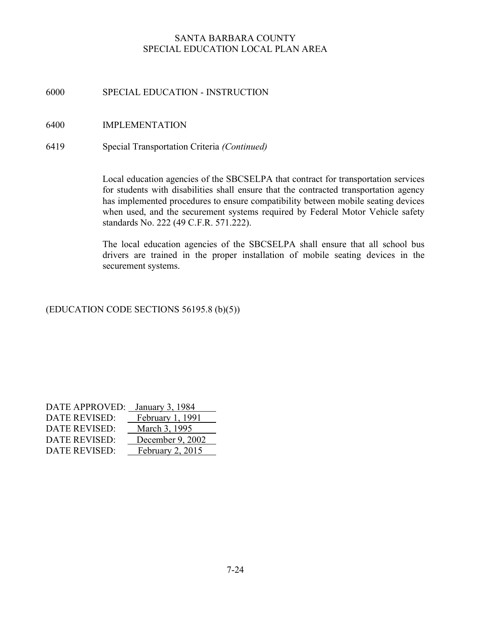# 6000 SPECIAL EDUCATION - INSTRUCTION

# 6400 IMPLEMENTATION

6419 Special Transportation Criteria (Continued)

Local education agencies of the SBCSELPA that contract for transportation services for students with disabilities shall ensure that the contracted transportation agency has implemented procedures to ensure compatibility between mobile seating devices when used, and the securement systems required by Federal Motor Vehicle safety standards No. 222 (49 C.F.R. 571.222).

The local education agencies of the SBCSELPA shall ensure that all school bus drivers are trained in the proper installation of mobile seating devices in the securement systems.

# (EDUCATION CODE SECTIONS 56195.8 (b)(5))

| DATE APPROVED:       | January 3, 1984  |
|----------------------|------------------|
| DATE REVISED:        | February 1, 1991 |
| <b>DATE REVISED:</b> | March 3, 1995    |
| DATE REVISED:        | December 9, 2002 |
| <b>DATE REVISED:</b> | February 2, 2015 |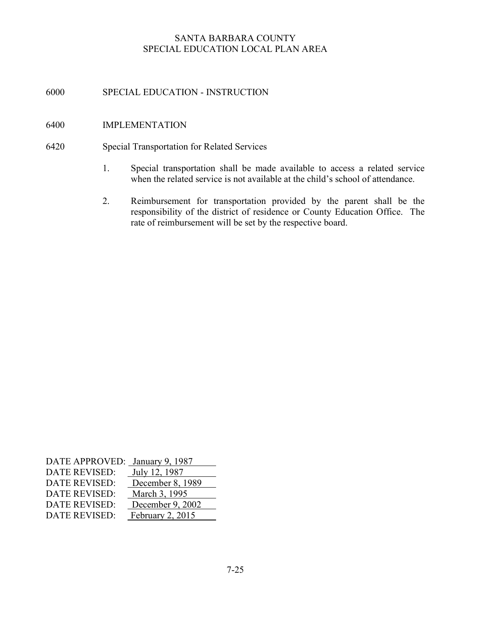# 6000 SPECIAL EDUCATION - INSTRUCTION

#### 6400 IMPLEMENTATION

#### 6420 Special Transportation for Related Services

- 1. Special transportation shall be made available to access a related service when the related service is not available at the child's school of attendance.
- 2. Reimbursement for transportation provided by the parent shall be the responsibility of the district of residence or County Education Office. The rate of reimbursement will be set by the respective board.

| DATE APPROVED: January 9, 1987 |                  |
|--------------------------------|------------------|
| <b>DATE REVISED:</b>           | July 12, 1987    |
| <b>DATE REVISED:</b>           | December 8, 1989 |
| <b>DATE REVISED:</b>           | March 3, 1995    |
| <b>DATE REVISED:</b>           | December 9, 2002 |
| <b>DATE REVISED:</b>           | February 2, 2015 |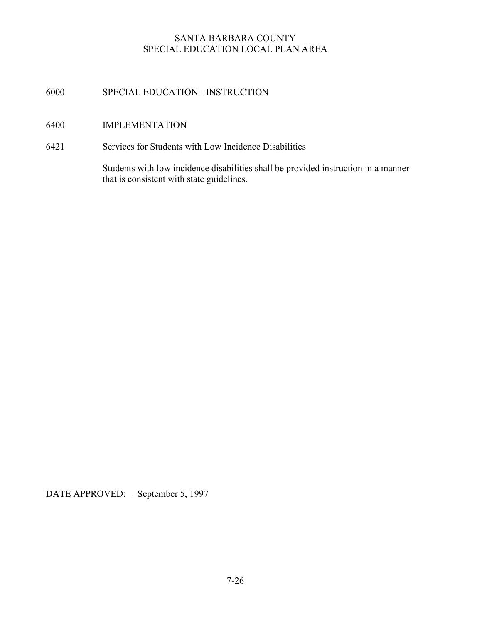# 6000 SPECIAL EDUCATION - INSTRUCTION

# 6400 IMPLEMENTATION

6421 Services for Students with Low Incidence Disabilities

 Students with low incidence disabilities shall be provided instruction in a manner that is consistent with state guidelines.

DATE APPROVED: September 5, 1997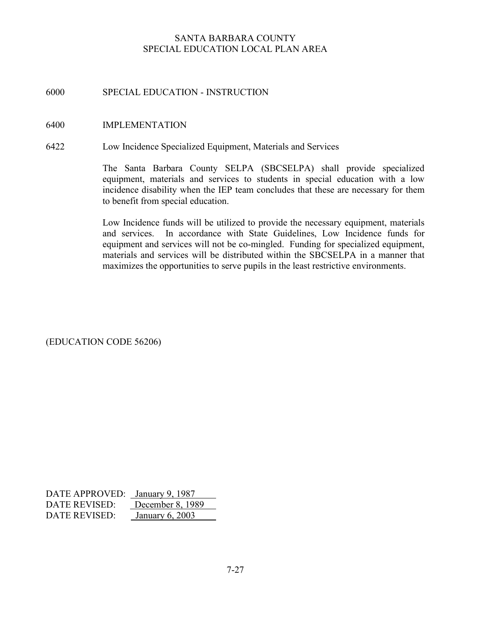# 6000 SPECIAL EDUCATION - INSTRUCTION

#### 6400 IMPLEMENTATION

6422 Low Incidence Specialized Equipment, Materials and Services

The Santa Barbara County SELPA (SBCSELPA) shall provide specialized equipment, materials and services to students in special education with a low incidence disability when the IEP team concludes that these are necessary for them to benefit from special education.

Low Incidence funds will be utilized to provide the necessary equipment, materials and services. In accordance with State Guidelines, Low Incidence funds for equipment and services will not be co-mingled. Funding for specialized equipment, materials and services will be distributed within the SBCSELPA in a manner that maximizes the opportunities to serve pupils in the least restrictive environments.

(EDUCATION CODE 56206)

| DATE APPROVED: January 9, 1987 |                   |
|--------------------------------|-------------------|
| DATE REVISED:                  | December 8, 1989  |
| DATE REVISED:                  | January $6, 2003$ |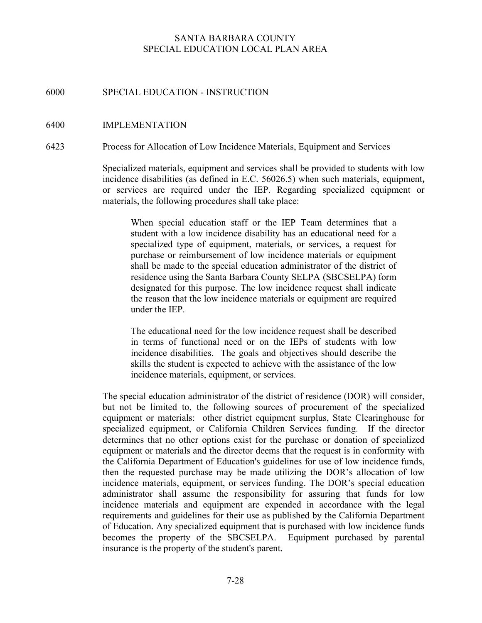# 6000 SPECIAL EDUCATION - INSTRUCTION

#### 6400 IMPLEMENTATION

6423 Process for Allocation of Low Incidence Materials, Equipment and Services

Specialized materials, equipment and services shall be provided to students with low incidence disabilities (as defined in E.C. 56026.5) when such materials, equipment, or services are required under the IEP. Regarding specialized equipment or materials, the following procedures shall take place:

When special education staff or the IEP Team determines that a student with a low incidence disability has an educational need for a specialized type of equipment, materials, or services, a request for purchase or reimbursement of low incidence materials or equipment shall be made to the special education administrator of the district of residence using the Santa Barbara County SELPA (SBCSELPA) form designated for this purpose. The low incidence request shall indicate the reason that the low incidence materials or equipment are required under the IEP.

The educational need for the low incidence request shall be described in terms of functional need or on the IEPs of students with low incidence disabilities. The goals and objectives should describe the skills the student is expected to achieve with the assistance of the low incidence materials, equipment, or services.

The special education administrator of the district of residence (DOR) will consider, but not be limited to, the following sources of procurement of the specialized equipment or materials: other district equipment surplus, State Clearinghouse for specialized equipment, or California Children Services funding. If the director determines that no other options exist for the purchase or donation of specialized equipment or materials and the director deems that the request is in conformity with the California Department of Education's guidelines for use of low incidence funds, then the requested purchase may be made utilizing the DOR's allocation of low incidence materials, equipment, or services funding. The DOR's special education administrator shall assume the responsibility for assuring that funds for low incidence materials and equipment are expended in accordance with the legal requirements and guidelines for their use as published by the California Department of Education. Any specialized equipment that is purchased with low incidence funds becomes the property of the SBCSELPA. Equipment purchased by parental insurance is the property of the student's parent.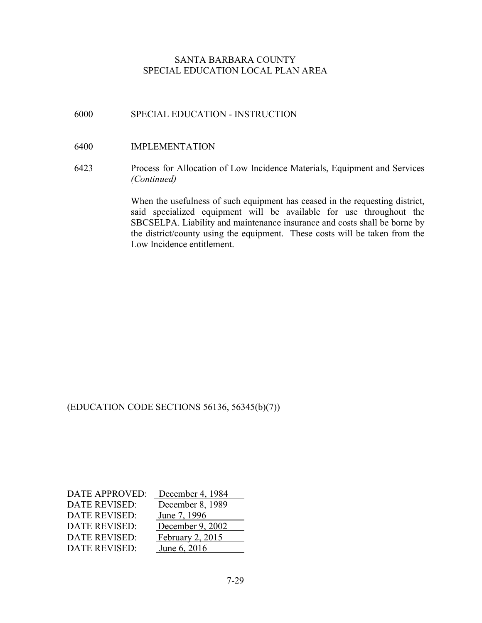# 6000 SPECIAL EDUCATION - INSTRUCTION

#### 6400 IMPLEMENTATION

6423 Process for Allocation of Low Incidence Materials, Equipment and Services (Continued)

> When the usefulness of such equipment has ceased in the requesting district, said specialized equipment will be available for use throughout the SBCSELPA. Liability and maintenance insurance and costs shall be borne by the district/county using the equipment. These costs will be taken from the Low Incidence entitlement.

(EDUCATION CODE SECTIONS 56136, 56345(b)(7))

| <b>DATE APPROVED:</b> | December 4, 1984 |
|-----------------------|------------------|
| <b>DATE REVISED:</b>  | December 8, 1989 |
| <b>DATE REVISED:</b>  | June 7, 1996     |
| <b>DATE REVISED:</b>  | December 9, 2002 |
| DATE REVISED:         | February 2, 2015 |
| <b>DATE REVISED:</b>  | June 6, 2016     |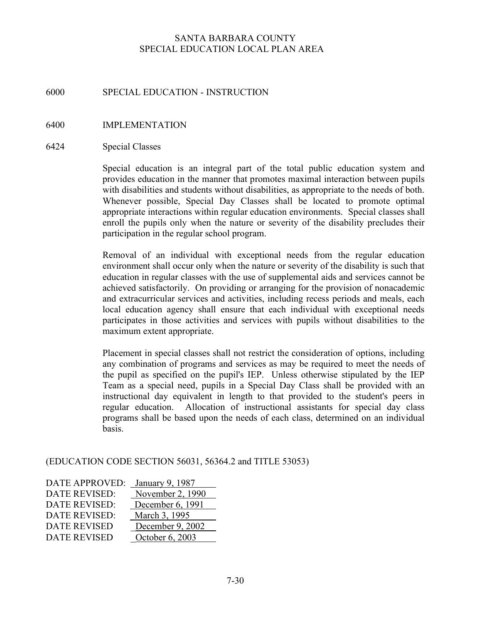# 6000 SPECIAL EDUCATION - INSTRUCTION

- 6400 IMPLEMENTATION
- 6424 Special Classes

Special education is an integral part of the total public education system and provides education in the manner that promotes maximal interaction between pupils with disabilities and students without disabilities, as appropriate to the needs of both. Whenever possible, Special Day Classes shall be located to promote optimal appropriate interactions within regular education environments. Special classes shall enroll the pupils only when the nature or severity of the disability precludes their participation in the regular school program.

Removal of an individual with exceptional needs from the regular education environment shall occur only when the nature or severity of the disability is such that education in regular classes with the use of supplemental aids and services cannot be achieved satisfactorily. On providing or arranging for the provision of nonacademic and extracurricular services and activities, including recess periods and meals, each local education agency shall ensure that each individual with exceptional needs participates in those activities and services with pupils without disabilities to the maximum extent appropriate.

Placement in special classes shall not restrict the consideration of options, including any combination of programs and services as may be required to meet the needs of the pupil as specified on the pupil's IEP. Unless otherwise stipulated by the IEP Team as a special need, pupils in a Special Day Class shall be provided with an instructional day equivalent in length to that provided to the student's peers in regular education. Allocation of instructional assistants for special day class programs shall be based upon the needs of each class, determined on an individual basis.

(EDUCATION CODE SECTION 56031, 56364.2 and TITLE 53053)

| <b>DATE APPROVED:</b> | January 9, 1987  |
|-----------------------|------------------|
| <b>DATE REVISED:</b>  | November 2, 1990 |
| <b>DATE REVISED:</b>  | December 6, 1991 |
| <b>DATE REVISED:</b>  | March 3, 1995    |
| <b>DATE REVISED</b>   | December 9, 2002 |
| <b>DATE REVISED</b>   | October 6, 2003  |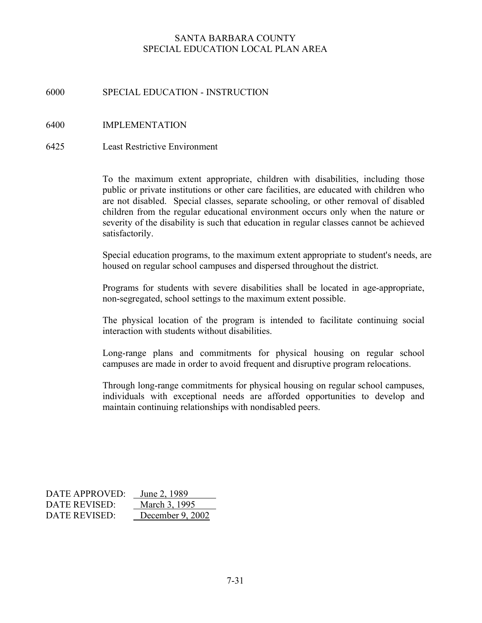# 6000 SPECIAL EDUCATION - INSTRUCTION

## 6400 IMPLEMENTATION

6425 Least Restrictive Environment

To the maximum extent appropriate, children with disabilities, including those public or private institutions or other care facilities, are educated with children who are not disabled. Special classes, separate schooling, or other removal of disabled children from the regular educational environment occurs only when the nature or severity of the disability is such that education in regular classes cannot be achieved satisfactorily.

Special education programs, to the maximum extent appropriate to student's needs, are housed on regular school campuses and dispersed throughout the district.

Programs for students with severe disabilities shall be located in age-appropriate, non-segregated, school settings to the maximum extent possible.

The physical location of the program is intended to facilitate continuing social interaction with students without disabilities.

Long-range plans and commitments for physical housing on regular school campuses are made in order to avoid frequent and disruptive program relocations.

Through long-range commitments for physical housing on regular school campuses, individuals with exceptional needs are afforded opportunities to develop and maintain continuing relationships with nondisabled peers.

| DATE APPROVED: | June 2, 1989     |
|----------------|------------------|
| DATE REVISED:  | March 3, 1995    |
| DATE REVISED:  | December 9, 2002 |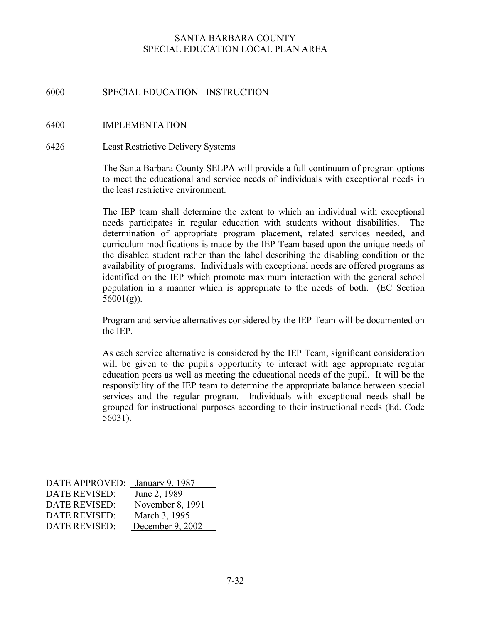# 6000 SPECIAL EDUCATION - INSTRUCTION

## 6400 IMPLEMENTATION

#### 6426 Least Restrictive Delivery Systems

The Santa Barbara County SELPA will provide a full continuum of program options to meet the educational and service needs of individuals with exceptional needs in the least restrictive environment.

The IEP team shall determine the extent to which an individual with exceptional needs participates in regular education with students without disabilities. The determination of appropriate program placement, related services needed, and curriculum modifications is made by the IEP Team based upon the unique needs of the disabled student rather than the label describing the disabling condition or the availability of programs. Individuals with exceptional needs are offered programs as identified on the IEP which promote maximum interaction with the general school population in a manner which is appropriate to the needs of both. (EC Section  $56001(g)$ ).

Program and service alternatives considered by the IEP Team will be documented on the IEP.

As each service alternative is considered by the IEP Team, significant consideration will be given to the pupil's opportunity to interact with age appropriate regular education peers as well as meeting the educational needs of the pupil. It will be the responsibility of the IEP team to determine the appropriate balance between special services and the regular program. Individuals with exceptional needs shall be grouped for instructional purposes according to their instructional needs (Ed. Code 56031).

| DATE APPROVED:       | January 9, 1987  |
|----------------------|------------------|
| DATE REVISED:        | June 2, 1989     |
| DATE REVISED:        | November 8, 1991 |
| DATE REVISED:        | March 3, 1995    |
| <b>DATE REVISED:</b> | December 9, 2002 |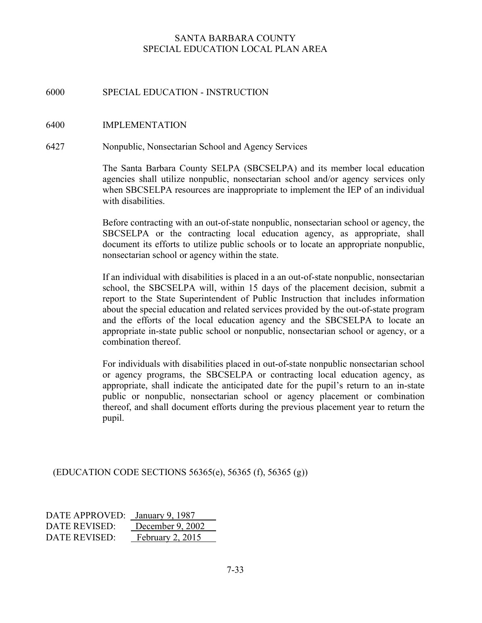# 6000 SPECIAL EDUCATION - INSTRUCTION

#### 6400 IMPLEMENTATION

#### 6427 Nonpublic, Nonsectarian School and Agency Services

The Santa Barbara County SELPA (SBCSELPA) and its member local education agencies shall utilize nonpublic, nonsectarian school and/or agency services only when SBCSELPA resources are inappropriate to implement the IEP of an individual with disabilities.

Before contracting with an out-of-state nonpublic, nonsectarian school or agency, the SBCSELPA or the contracting local education agency, as appropriate, shall document its efforts to utilize public schools or to locate an appropriate nonpublic, nonsectarian school or agency within the state.

If an individual with disabilities is placed in a an out-of-state nonpublic, nonsectarian school, the SBCSELPA will, within 15 days of the placement decision, submit a report to the State Superintendent of Public Instruction that includes information about the special education and related services provided by the out-of-state program and the efforts of the local education agency and the SBCSELPA to locate an appropriate in-state public school or nonpublic, nonsectarian school or agency, or a combination thereof.

For individuals with disabilities placed in out-of-state nonpublic nonsectarian school or agency programs, the SBCSELPA or contracting local education agency, as appropriate, shall indicate the anticipated date for the pupil's return to an in-state public or nonpublic, nonsectarian school or agency placement or combination thereof, and shall document efforts during the previous placement year to return the pupil.

(EDUCATION CODE SECTIONS 56365(e), 56365 (f), 56365 (g))

| DATE APPROVED: January 9, 1987 |                    |
|--------------------------------|--------------------|
| DATE REVISED:                  | December 9, 2002   |
| DATE REVISED:                  | February $2, 2015$ |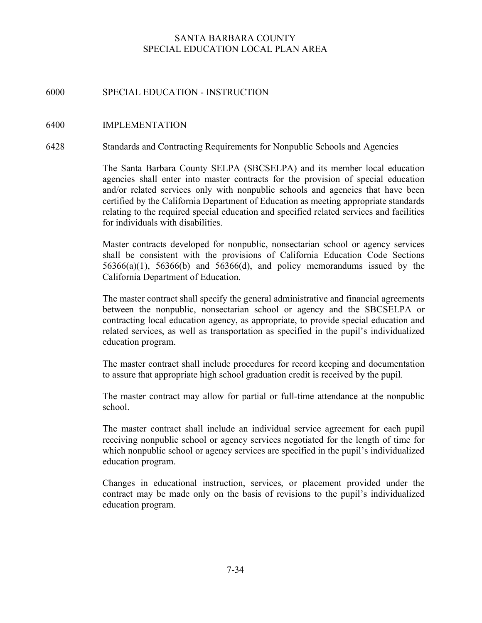# 6000 SPECIAL EDUCATION - INSTRUCTION

#### 6400 IMPLEMENTATION

#### 6428 Standards and Contracting Requirements for Nonpublic Schools and Agencies

The Santa Barbara County SELPA (SBCSELPA) and its member local education agencies shall enter into master contracts for the provision of special education and/or related services only with nonpublic schools and agencies that have been certified by the California Department of Education as meeting appropriate standards relating to the required special education and specified related services and facilities for individuals with disabilities.

Master contracts developed for nonpublic, nonsectarian school or agency services shall be consistent with the provisions of California Education Code Sections  $56366(a)(1)$ ,  $56366(b)$  and  $56366(d)$ , and policy memorandums issued by the California Department of Education.

The master contract shall specify the general administrative and financial agreements between the nonpublic, nonsectarian school or agency and the SBCSELPA or contracting local education agency, as appropriate, to provide special education and related services, as well as transportation as specified in the pupil's individualized education program.

The master contract shall include procedures for record keeping and documentation to assure that appropriate high school graduation credit is received by the pupil.

The master contract may allow for partial or full-time attendance at the nonpublic school.

The master contract shall include an individual service agreement for each pupil receiving nonpublic school or agency services negotiated for the length of time for which nonpublic school or agency services are specified in the pupil's individualized education program.

Changes in educational instruction, services, or placement provided under the contract may be made only on the basis of revisions to the pupil's individualized education program.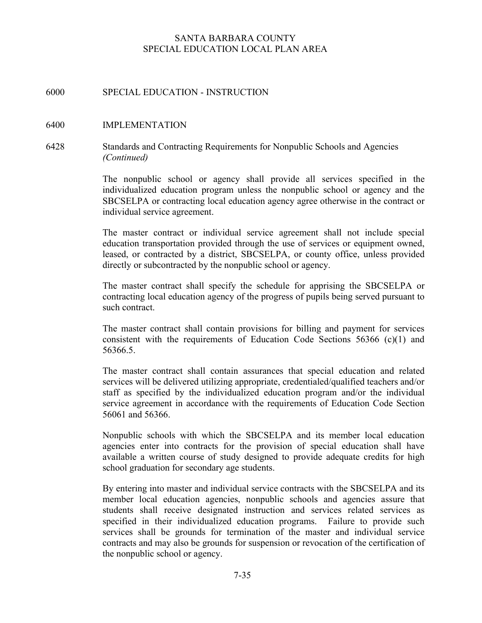# 6000 SPECIAL EDUCATION - INSTRUCTION

#### 6400 IMPLEMENTATION

# 6428 Standards and Contracting Requirements for Nonpublic Schools and Agencies (Continued)

The nonpublic school or agency shall provide all services specified in the individualized education program unless the nonpublic school or agency and the SBCSELPA or contracting local education agency agree otherwise in the contract or individual service agreement.

The master contract or individual service agreement shall not include special education transportation provided through the use of services or equipment owned, leased, or contracted by a district, SBCSELPA, or county office, unless provided directly or subcontracted by the nonpublic school or agency.

The master contract shall specify the schedule for apprising the SBCSELPA or contracting local education agency of the progress of pupils being served pursuant to such contract.

The master contract shall contain provisions for billing and payment for services consistent with the requirements of Education Code Sections 56366 (c)(1) and 56366.5.

The master contract shall contain assurances that special education and related services will be delivered utilizing appropriate, credentialed/qualified teachers and/or staff as specified by the individualized education program and/or the individual service agreement in accordance with the requirements of Education Code Section 56061 and 56366.

Nonpublic schools with which the SBCSELPA and its member local education agencies enter into contracts for the provision of special education shall have available a written course of study designed to provide adequate credits for high school graduation for secondary age students.

By entering into master and individual service contracts with the SBCSELPA and its member local education agencies, nonpublic schools and agencies assure that students shall receive designated instruction and services related services as specified in their individualized education programs. Failure to provide such services shall be grounds for termination of the master and individual service contracts and may also be grounds for suspension or revocation of the certification of the nonpublic school or agency.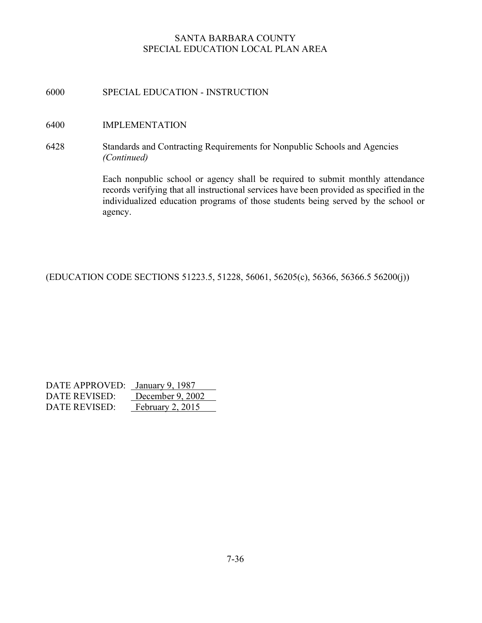# 6000 SPECIAL EDUCATION - INSTRUCTION

## 6400 IMPLEMENTATION

6428 Standards and Contracting Requirements for Nonpublic Schools and Agencies (Continued)

> Each nonpublic school or agency shall be required to submit monthly attendance records verifying that all instructional services have been provided as specified in the individualized education programs of those students being served by the school or agency.

(EDUCATION CODE SECTIONS 51223.5, 51228, 56061, 56205(c), 56366, 56366.5 56200(j))

| DATE APPROVED: January 9, 1987 |                  |
|--------------------------------|------------------|
| DATE REVISED:                  | December 9, 2002 |
| DATE REVISED:                  | February 2, 2015 |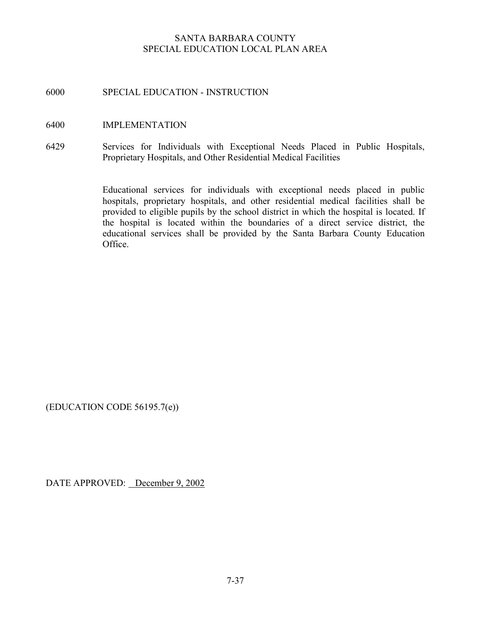# 6000 SPECIAL EDUCATION - INSTRUCTION

## 6400 IMPLEMENTATION

6429 Services for Individuals with Exceptional Needs Placed in Public Hospitals, Proprietary Hospitals, and Other Residential Medical Facilities

> Educational services for individuals with exceptional needs placed in public hospitals, proprietary hospitals, and other residential medical facilities shall be provided to eligible pupils by the school district in which the hospital is located. If the hospital is located within the boundaries of a direct service district, the educational services shall be provided by the Santa Barbara County Education Office.

(EDUCATION CODE 56195.7(e))

DATE APPROVED: December 9, 2002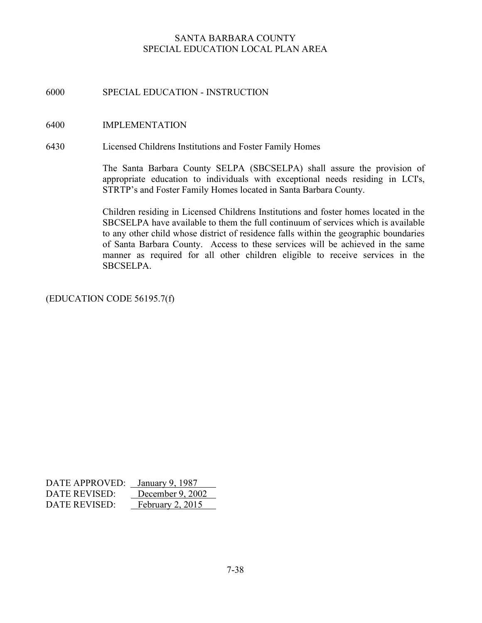# 6000 SPECIAL EDUCATION - INSTRUCTION

#### 6400 IMPLEMENTATION

6430 Licensed Childrens Institutions and Foster Family Homes

The Santa Barbara County SELPA (SBCSELPA) shall assure the provision of appropriate education to individuals with exceptional needs residing in LCI's, STRTP's and Foster Family Homes located in Santa Barbara County.

Children residing in Licensed Childrens Institutions and foster homes located in the SBCSELPA have available to them the full continuum of services which is available to any other child whose district of residence falls within the geographic boundaries of Santa Barbara County. Access to these services will be achieved in the same manner as required for all other children eligible to receive services in the SBCSELPA.

(EDUCATION CODE 56195.7(f)

| DATE APPROVED: | January 9, 1987  |
|----------------|------------------|
| DATE REVISED:  | December 9, 2002 |
| DATE REVISED:  | February 2, 2015 |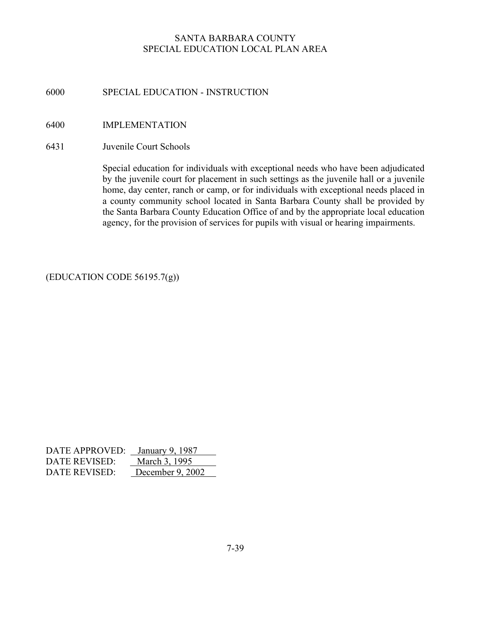# 6000 SPECIAL EDUCATION - INSTRUCTION

# 6400 IMPLEMENTATION

#### 6431 Juvenile Court Schools

Special education for individuals with exceptional needs who have been adjudicated by the juvenile court for placement in such settings as the juvenile hall or a juvenile home, day center, ranch or camp, or for individuals with exceptional needs placed in a county community school located in Santa Barbara County shall be provided by the Santa Barbara County Education Office of and by the appropriate local education agency, for the provision of services for pupils with visual or hearing impairments.

# (EDUCATION CODE 56195.7(g))

| DATE APPROVED: January 9, 1987 |                  |
|--------------------------------|------------------|
| DATE REVISED:                  | March 3, 1995    |
| DATE REVISED:                  | December 9, 2002 |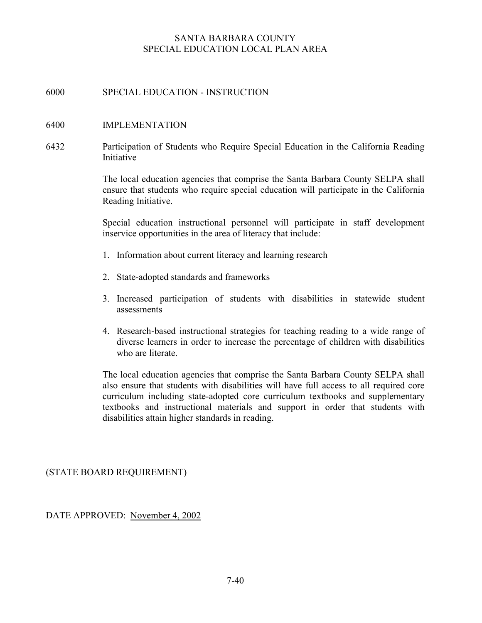# 6000 SPECIAL EDUCATION - INSTRUCTION

## 6400 IMPLEMENTATION

6432 Participation of Students who Require Special Education in the California Reading Initiative

> The local education agencies that comprise the Santa Barbara County SELPA shall ensure that students who require special education will participate in the California Reading Initiative.

> Special education instructional personnel will participate in staff development inservice opportunities in the area of literacy that include:

- 1. Information about current literacy and learning research
- 2. State-adopted standards and frameworks
- 3. Increased participation of students with disabilities in statewide student assessments
- 4. Research-based instructional strategies for teaching reading to a wide range of diverse learners in order to increase the percentage of children with disabilities who are literate.

The local education agencies that comprise the Santa Barbara County SELPA shall also ensure that students with disabilities will have full access to all required core curriculum including state-adopted core curriculum textbooks and supplementary textbooks and instructional materials and support in order that students with disabilities attain higher standards in reading.

(STATE BOARD REQUIREMENT)

DATE APPROVED: November 4, 2002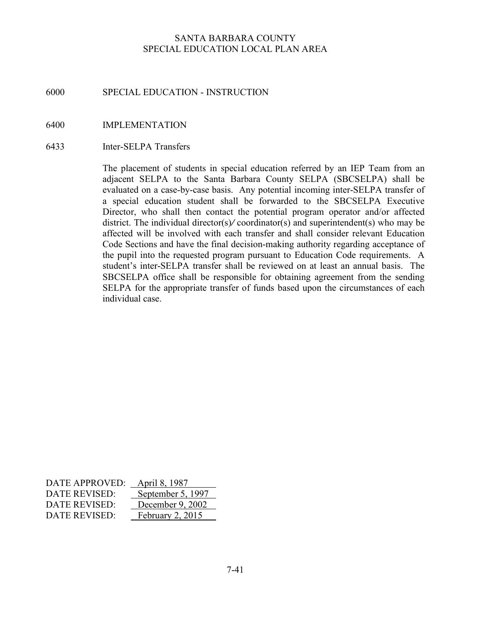# 6000 SPECIAL EDUCATION - INSTRUCTION

## 6400 IMPLEMENTATION

#### 6433 Inter-SELPA Transfers

The placement of students in special education referred by an IEP Team from an adjacent SELPA to the Santa Barbara County SELPA (SBCSELPA) shall be evaluated on a case-by-case basis. Any potential incoming inter-SELPA transfer of a special education student shall be forwarded to the SBCSELPA Executive Director, who shall then contact the potential program operator and/or affected district. The individual director(s)/ coordinator(s) and superintendent(s) who may be affected will be involved with each transfer and shall consider relevant Education Code Sections and have the final decision-making authority regarding acceptance of the pupil into the requested program pursuant to Education Code requirements. A student's inter-SELPA transfer shall be reviewed on at least an annual basis. The SBCSELPA office shall be responsible for obtaining agreement from the sending SELPA for the appropriate transfer of funds based upon the circumstances of each individual case.

| DATE APPROVED: | April 8, 1987     |
|----------------|-------------------|
| DATE REVISED:  | September 5, 1997 |
| DATE REVISED:  | December 9, 2002  |
| DATE REVISED:  | February 2, 2015  |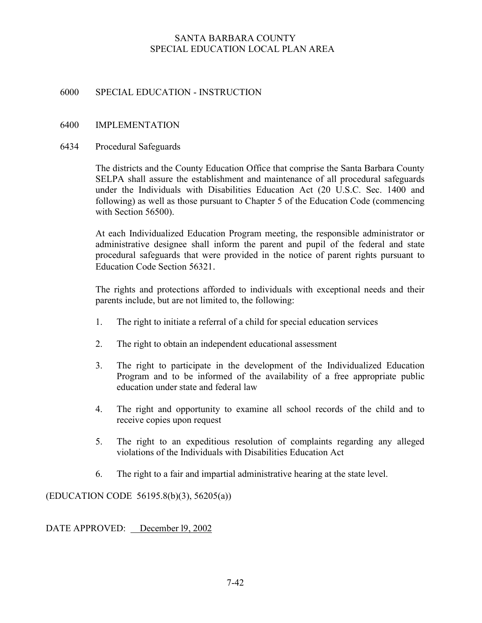# 6000 SPECIAL EDUCATION - INSTRUCTION

# 6400 IMPLEMENTATION

# 6434 Procedural Safeguards

The districts and the County Education Office that comprise the Santa Barbara County SELPA shall assure the establishment and maintenance of all procedural safeguards under the Individuals with Disabilities Education Act (20 U.S.C. Sec. 1400 and following) as well as those pursuant to Chapter 5 of the Education Code (commencing with Section 56500).

At each Individualized Education Program meeting, the responsible administrator or administrative designee shall inform the parent and pupil of the federal and state procedural safeguards that were provided in the notice of parent rights pursuant to Education Code Section 56321.

The rights and protections afforded to individuals with exceptional needs and their parents include, but are not limited to, the following:

- 1. The right to initiate a referral of a child for special education services
- 2. The right to obtain an independent educational assessment
- 3. The right to participate in the development of the Individualized Education Program and to be informed of the availability of a free appropriate public education under state and federal law
- 4. The right and opportunity to examine all school records of the child and to receive copies upon request
- 5. The right to an expeditious resolution of complaints regarding any alleged violations of the Individuals with Disabilities Education Act
- 6. The right to a fair and impartial administrative hearing at the state level.

(EDUCATION CODE 56195.8(b)(3), 56205(a))

DATE APPROVED: December l9, 2002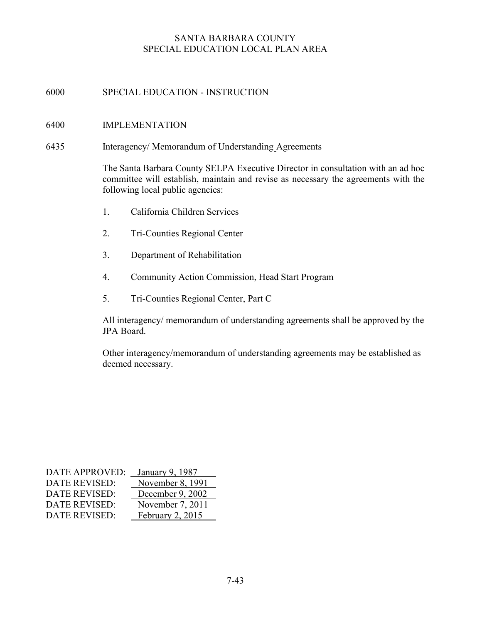# 6000 SPECIAL EDUCATION - INSTRUCTION

## 6400 IMPLEMENTATION

6435 Interagency/ Memorandum of Understanding Agreements

The Santa Barbara County SELPA Executive Director in consultation with an ad hoc committee will establish, maintain and revise as necessary the agreements with the following local public agencies:

- 1. California Children Services
- 2. Tri-Counties Regional Center
- 3. Department of Rehabilitation
- 4. Community Action Commission, Head Start Program
- 5. Tri-Counties Regional Center, Part C

All interagency/ memorandum of understanding agreements shall be approved by the JPA Board.

Other interagency/memorandum of understanding agreements may be established as deemed necessary.

| <b>DATE APPROVED:</b> | January 9, 1987  |
|-----------------------|------------------|
| <b>DATE REVISED:</b>  | November 8, 1991 |
| <b>DATE REVISED:</b>  | December 9, 2002 |
| <b>DATE REVISED:</b>  | November 7, 2011 |
| <b>DATE REVISED:</b>  | February 2, 2015 |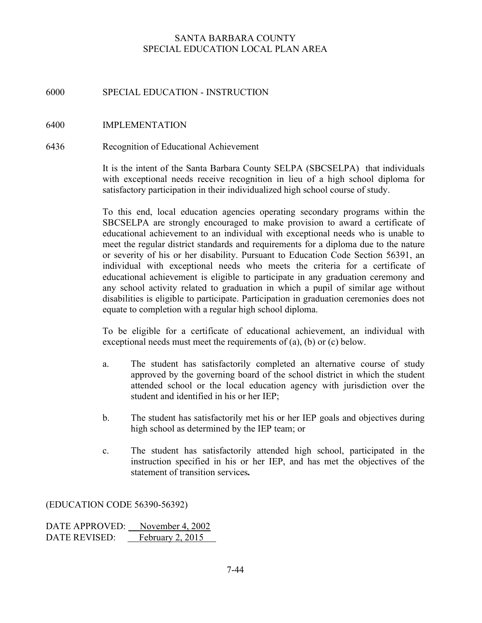# 6000 SPECIAL EDUCATION - INSTRUCTION

## 6400 IMPLEMENTATION

#### 6436 Recognition of Educational Achievement

 It is the intent of the Santa Barbara County SELPA (SBCSELPA) that individuals with exceptional needs receive recognition in lieu of a high school diploma for satisfactory participation in their individualized high school course of study.

To this end, local education agencies operating secondary programs within the SBCSELPA are strongly encouraged to make provision to award a certificate of educational achievement to an individual with exceptional needs who is unable to meet the regular district standards and requirements for a diploma due to the nature or severity of his or her disability. Pursuant to Education Code Section 56391, an individual with exceptional needs who meets the criteria for a certificate of educational achievement is eligible to participate in any graduation ceremony and any school activity related to graduation in which a pupil of similar age without disabilities is eligible to participate. Participation in graduation ceremonies does not equate to completion with a regular high school diploma.

To be eligible for a certificate of educational achievement, an individual with exceptional needs must meet the requirements of (a), (b) or (c) below.

- a. The student has satisfactorily completed an alternative course of study approved by the governing board of the school district in which the student attended school or the local education agency with jurisdiction over the student and identified in his or her IEP;
- b. The student has satisfactorily met his or her IEP goals and objectives during high school as determined by the IEP team; or
- c. The student has satisfactorily attended high school, participated in the instruction specified in his or her IEP, and has met the objectives of the statement of transition services.

#### (EDUCATION CODE 56390-56392)

DATE APPROVED: November 4, 2002 DATE REVISED: February 2, 2015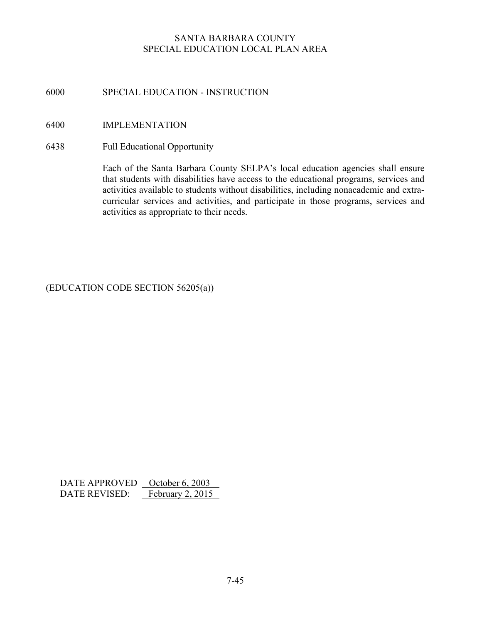# 6000 SPECIAL EDUCATION - INSTRUCTION

# 6400 IMPLEMENTATION

6438 Full Educational Opportunity

Each of the Santa Barbara County SELPA's local education agencies shall ensure that students with disabilities have access to the educational programs, services and activities available to students without disabilities, including nonacademic and extracurricular services and activities, and participate in those programs, services and activities as appropriate to their needs.

# (EDUCATION CODE SECTION 56205(a))

DATE APPROVED <u>October 6, 2003</u><br>DATE REVISED: February 2, 2015 DATE REVISED: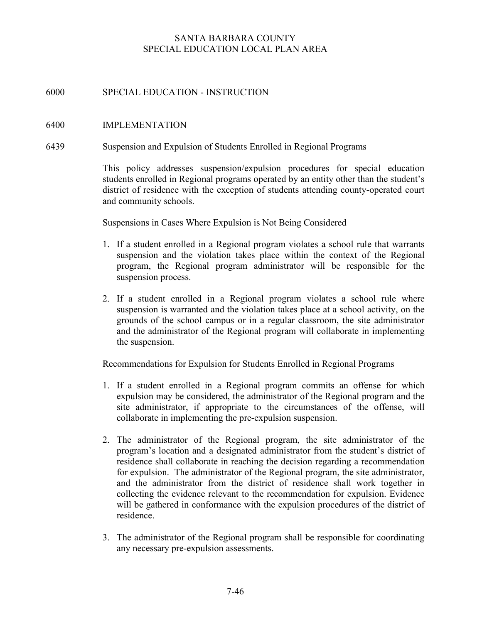# 6000 SPECIAL EDUCATION - INSTRUCTION

#### 6400 IMPLEMENTATION

#### 6439 Suspension and Expulsion of Students Enrolled in Regional Programs

This policy addresses suspension/expulsion procedures for special education students enrolled in Regional programs operated by an entity other than the student's district of residence with the exception of students attending county-operated court and community schools.

Suspensions in Cases Where Expulsion is Not Being Considered

- 1. If a student enrolled in a Regional program violates a school rule that warrants suspension and the violation takes place within the context of the Regional program, the Regional program administrator will be responsible for the suspension process.
- 2. If a student enrolled in a Regional program violates a school rule where suspension is warranted and the violation takes place at a school activity, on the grounds of the school campus or in a regular classroom, the site administrator and the administrator of the Regional program will collaborate in implementing the suspension.

Recommendations for Expulsion for Students Enrolled in Regional Programs

- 1. If a student enrolled in a Regional program commits an offense for which expulsion may be considered, the administrator of the Regional program and the site administrator, if appropriate to the circumstances of the offense, will collaborate in implementing the pre-expulsion suspension.
- 2. The administrator of the Regional program, the site administrator of the program's location and a designated administrator from the student's district of residence shall collaborate in reaching the decision regarding a recommendation for expulsion. The administrator of the Regional program, the site administrator, and the administrator from the district of residence shall work together in collecting the evidence relevant to the recommendation for expulsion. Evidence will be gathered in conformance with the expulsion procedures of the district of residence.
- 3. The administrator of the Regional program shall be responsible for coordinating any necessary pre-expulsion assessments.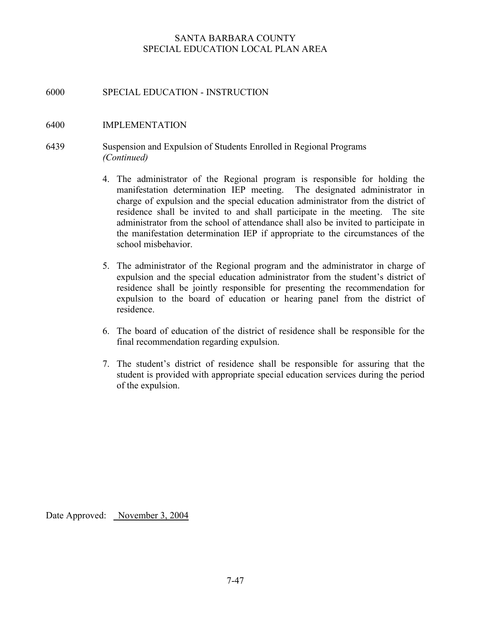# 6000 SPECIAL EDUCATION - INSTRUCTION

#### 6400 IMPLEMENTATION

# 6439 Suspension and Expulsion of Students Enrolled in Regional Programs (Continued)

- 4. The administrator of the Regional program is responsible for holding the manifestation determination IEP meeting. The designated administrator in charge of expulsion and the special education administrator from the district of residence shall be invited to and shall participate in the meeting. The site administrator from the school of attendance shall also be invited to participate in the manifestation determination IEP if appropriate to the circumstances of the school misbehavior.
- 5. The administrator of the Regional program and the administrator in charge of expulsion and the special education administrator from the student's district of residence shall be jointly responsible for presenting the recommendation for expulsion to the board of education or hearing panel from the district of residence.
- 6. The board of education of the district of residence shall be responsible for the final recommendation regarding expulsion.
- 7. The student's district of residence shall be responsible for assuring that the student is provided with appropriate special education services during the period of the expulsion.

Date Approved: November 3, 2004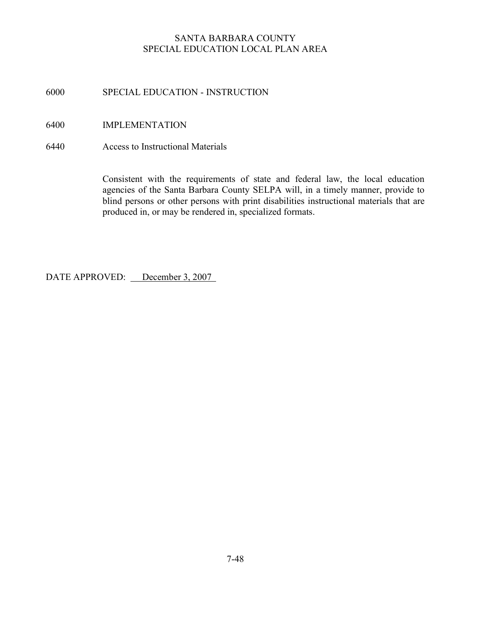# 6000 SPECIAL EDUCATION - INSTRUCTION

# 6400 IMPLEMENTATION

6440 Access to Instructional Materials

Consistent with the requirements of state and federal law, the local education agencies of the Santa Barbara County SELPA will, in a timely manner, provide to blind persons or other persons with print disabilities instructional materials that are produced in, or may be rendered in, specialized formats.

DATE APPROVED: December 3, 2007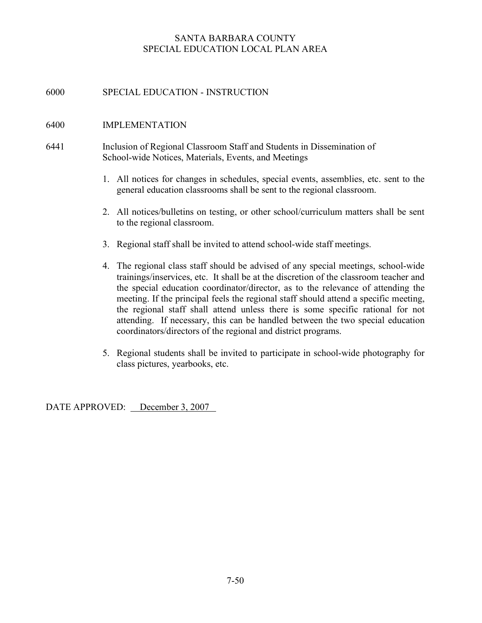# 6000 SPECIAL EDUCATION - INSTRUCTION

## 6400 IMPLEMENTATION

- 6441 Inclusion of Regional Classroom Staff and Students in Dissemination of School-wide Notices, Materials, Events, and Meetings
	- 1. All notices for changes in schedules, special events, assemblies, etc. sent to the general education classrooms shall be sent to the regional classroom.
	- 2. All notices/bulletins on testing, or other school/curriculum matters shall be sent to the regional classroom.
	- 3. Regional staff shall be invited to attend school-wide staff meetings.
	- 4. The regional class staff should be advised of any special meetings, school-wide trainings/inservices, etc. It shall be at the discretion of the classroom teacher and the special education coordinator/director, as to the relevance of attending the meeting. If the principal feels the regional staff should attend a specific meeting, the regional staff shall attend unless there is some specific rational for not attending. If necessary, this can be handled between the two special education coordinators/directors of the regional and district programs.
	- 5. Regional students shall be invited to participate in school-wide photography for class pictures, yearbooks, etc.

DATE APPROVED: December 3, 2007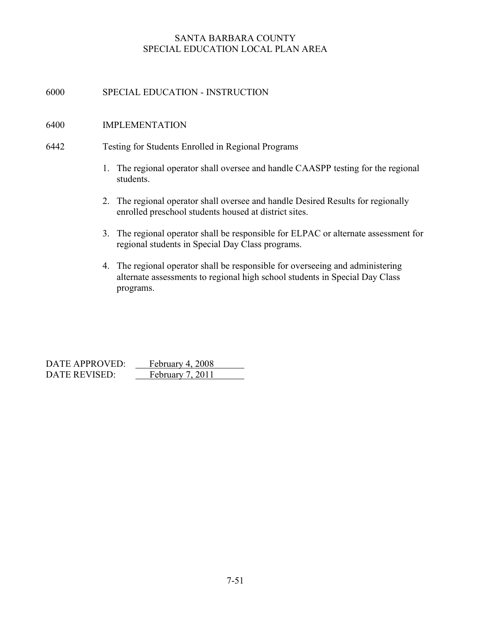# 6000 SPECIAL EDUCATION - INSTRUCTION

#### 6400 IMPLEMENTATION

#### 6442 Testing for Students Enrolled in Regional Programs

- 1. The regional operator shall oversee and handle CAASPP testing for the regional students.
- 2. The regional operator shall oversee and handle Desired Results for regionally enrolled preschool students housed at district sites.
- 3. The regional operator shall be responsible for ELPAC or alternate assessment for regional students in Special Day Class programs.
- 4. The regional operator shall be responsible for overseeing and administering alternate assessments to regional high school students in Special Day Class programs.

| DATE APPROVED: | February 4, 2008 |
|----------------|------------------|
| DATE REVISED:  | February 7, 2011 |